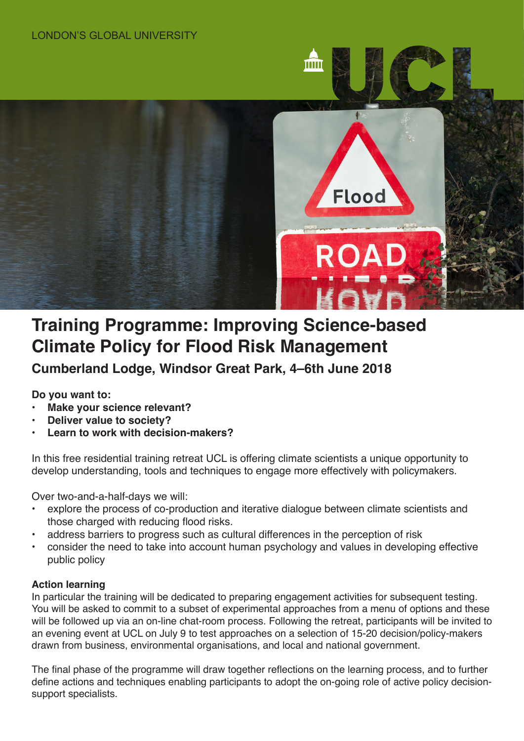

# **Training Programme: Improving Science-based Climate Policy for Flood Risk Management**

**Cumberland Lodge, Windsor Great Park, 4–6th June 2018**

**Do you want to:**

- **• Make your science relevant?**
- **• Deliver value to society?**
- **• Learn to work with decision-makers?**

In this free residential training retreat UCL is offering climate scientists a unique opportunity to develop understanding, tools and techniques to engage more effectively with policymakers.

Over two-and-a-half-days we will:

- explore the process of co-production and iterative dialogue between climate scientists and those charged with reducing flood risks.
- address barriers to progress such as cultural differences in the perception of risk
- consider the need to take into account human psychology and values in developing effective public policy

# **Action learning**

In particular the training will be dedicated to preparing engagement activities for subsequent testing. You will be asked to commit to a subset of experimental approaches from a menu of options and these will be followed up via an on-line chat-room process. Following the retreat, participants will be invited to an evening event at UCL on July 9 to test approaches on a selection of 15-20 decision/policy-makers drawn from business, environmental organisations, and local and national government.

The final phase of the programme will draw together reflections on the learning process, and to further define actions and techniques enabling participants to adopt the on-going role of active policy decisionsupport specialists.